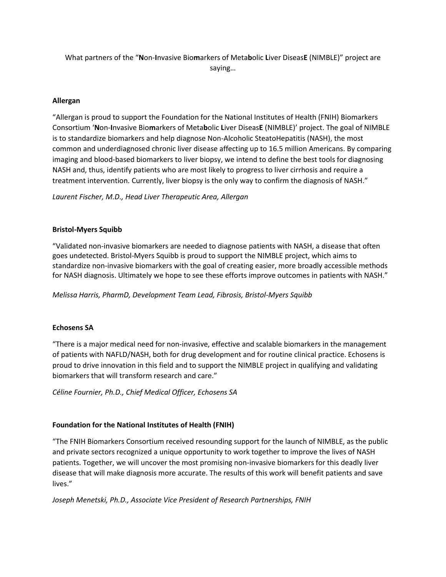What partners of the "**N**on-**I**nvasive Bio**m**arkers of Meta**b**olic **L**iver Diseas**E** (NIMBLE)" project are saying…

## **Allergan**

"Allergan is proud to support the Foundation for the National Institutes of Health (FNIH) Biomarkers Consortium '**N**on-**I**nvasive Bio**m**arkers of Meta**b**olic **L**iver Diseas**E** (NIMBLE)' project. The goal of NIMBLE is to standardize biomarkers and help diagnose Non-Alcoholic SteatoHepatitis (NASH), the most common and underdiagnosed chronic liver disease affecting up to 16.5 million Americans. By comparing imaging and blood-based biomarkers to liver biopsy, we intend to define the best tools for diagnosing NASH and, thus, identify patients who are most likely to progress to liver cirrhosis and require a treatment intervention. Currently, liver biopsy is the only way to confirm the diagnosis of NASH."

*Laurent Fischer, M.D., Head Liver Therapeutic Area, Allergan*

## **Bristol-Myers Squibb**

"Validated non-invasive biomarkers are needed to diagnose patients with NASH, a disease that often goes undetected. Bristol-Myers Squibb is proud to support the NIMBLE project, which aims to standardize non-invasive biomarkers with the goal of creating easier, more broadly accessible methods for NASH diagnosis. Ultimately we hope to see these efforts improve outcomes in patients with NASH."

*Melissa Harris, PharmD, Development Team Lead, Fibrosis, Bristol-Myers Squibb*

### **Echosens SA**

"There is a major medical need for non-invasive, effective and scalable biomarkers in the management of patients with NAFLD/NASH, both for drug development and for routine clinical practice. Echosens is proud to drive innovation in this field and to support the NIMBLE project in qualifying and validating biomarkers that will transform research and care."

*Céline Fournier, Ph.D., Chief Medical Officer, Echosens SA*

# **Foundation for the National Institutes of Health (FNIH)**

"The FNIH Biomarkers Consortium received resounding support for the launch of NIMBLE, as the public and private sectors recognized a unique opportunity to work together to improve the lives of NASH patients. Together, we will uncover the most promising non-invasive biomarkers for this deadly liver disease that will make diagnosis more accurate. The results of this work will benefit patients and save lives."

*Joseph Menetski, Ph.D., Associate Vice President of Research Partnerships, FNIH*